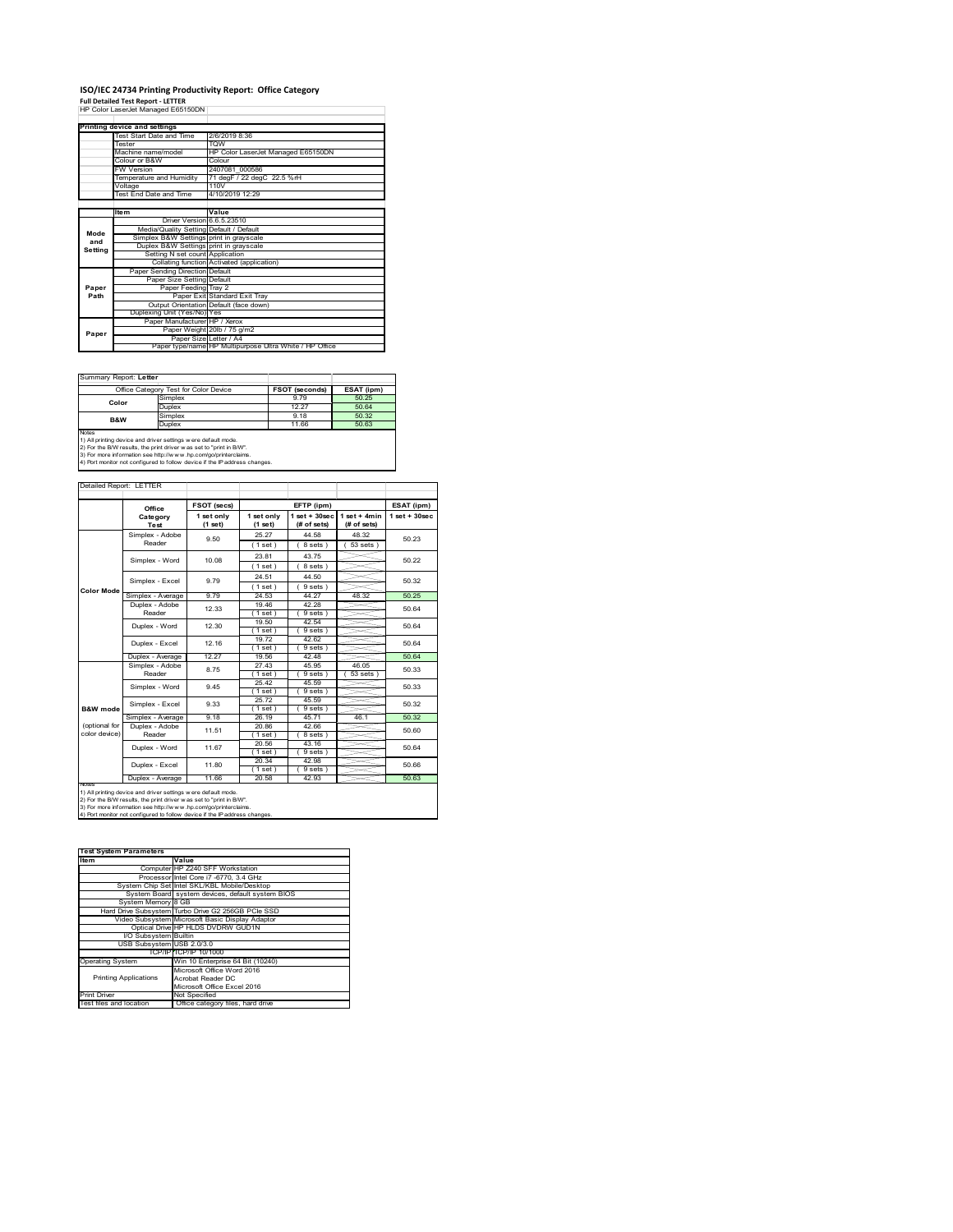## **ISO/IEC 24734 Printing Productivity Report: Office Category<br>Full Detailed Test Report - LETTER<br>HP Color LaserJet Managed E65150DN |**

|         | Printing device and settings            |                                                         |
|---------|-----------------------------------------|---------------------------------------------------------|
|         | Test Start Date and Time                | 2/6/2019 8:36                                           |
|         | <b>Tester</b>                           | <b>TOW</b>                                              |
|         | Machine name/model                      | HP Color LaserJet Managed E65150DN                      |
|         | Colour or B&W                           | Colour                                                  |
|         | <b>FW Version</b>                       | 2407081 000586                                          |
|         | Temperature and Humidity                | 71 degF / 22 degC 22.5 %rH                              |
|         | Voltage                                 | 110V                                                    |
|         | <b>Test End Date and Time</b>           | 4/10/2019 12:29                                         |
|         |                                         |                                                         |
|         | <b>Item</b>                             | Value                                                   |
|         | Driver Version 6.6.5.23510              |                                                         |
| Mode    | Media/Quality Setting Default / Default |                                                         |
| and     | Simplex B&W Settings print in grayscale |                                                         |
| Setting | Duplex B&W Settings print in grayscale  |                                                         |
|         | Setting N set count Application         |                                                         |
|         |                                         | Collating function Activated (application)              |
|         | Paper Sending Direction Default         |                                                         |
|         | Paper Size Setting Default              |                                                         |
| Paper   | Paper Feeding Tray 2                    |                                                         |
| Path    |                                         | Paper Exit Standard Exit Tray                           |
|         |                                         | Output Orientation Default (face down)                  |
|         | Duplexing Unit (Yes/No) Yes             |                                                         |
|         | Paper Manufacturer HP / Xerox           |                                                         |
| Paper   |                                         | Paper Weight 20lb / 75 g/m2                             |
|         |                                         | Paper Size Letter / A4                                  |
|         |                                         | Paper type/name HP Multipurpose Ultra White / HP Office |

Summary Report: **Letter**

| -----------------------------                                       |                                                                            |                       |            |  |  |  |  |
|---------------------------------------------------------------------|----------------------------------------------------------------------------|-----------------------|------------|--|--|--|--|
|                                                                     | Office Category Test for Color Device                                      | <b>FSOT (seconds)</b> | ESAT (ipm) |  |  |  |  |
| Color                                                               | Simplex                                                                    | 9.79                  | 50.25      |  |  |  |  |
|                                                                     | Duplex                                                                     | 12 27                 | 50.64      |  |  |  |  |
| <b>B&amp;W</b>                                                      | Simplex                                                                    | 9.18                  | 50.32      |  |  |  |  |
|                                                                     | <b>Duplex</b>                                                              | 11.66                 | 50.63      |  |  |  |  |
| <b>Notes</b>                                                        |                                                                            |                       |            |  |  |  |  |
|                                                                     | 1) All printing device and driver settings were default mode.              |                       |            |  |  |  |  |
| 2) For the B/W results, the print driver was set to "print in B/W". |                                                                            |                       |            |  |  |  |  |
|                                                                     | 3) For more information see http://www.hp.com/go/printerclaims.            |                       |            |  |  |  |  |
|                                                                     | 4) Port monitor not configured to follow device if the IP address changes. |                       |            |  |  |  |  |

|                                |                            | FSOT (secs)           |                       | EFTP (ipm)                        |                               | ESAT (ipm)         |
|--------------------------------|----------------------------|-----------------------|-----------------------|-----------------------------------|-------------------------------|--------------------|
|                                | Office<br>Category<br>Test | 1 set only<br>(1 set) | 1 set only<br>(1 set) | $1$ set + $30$ sec<br>(# of sets) | $1$ set + 4min<br>(# of sets) | $1$ set + $30$ sec |
|                                | Simplex - Adobe<br>Reader  | 9.50                  | 25 27<br>(1 set)      | 44.58<br>8 sets)                  | 48.32<br>$53$ sets $)$        | 50.23              |
|                                | Simplex - Word             | 10.08                 | 23.81<br>(1 set)      | 43 75<br>8 sets)                  |                               | 50.22              |
|                                | Simplex - Excel            | 9.79                  | 24.51<br>(1 set)      | 44.50<br>9 sets)                  |                               | 50.32              |
| Color Mode                     | Simplex - Average          | 9.79                  | 24.53                 | 44.27                             | 48.32                         | 50.25              |
|                                | Duplex - Adobe<br>Reader   | 12.33                 | 1946<br>(1 set)       | 42.28<br>9 sets)                  |                               | 50.64              |
|                                | Duplex - Word              | 12.30                 | 19.50<br>(1 set)      | 42.54<br>9 sets)                  |                               | 50.64              |
|                                | 12 16<br>Duplex - Excel    | 1972<br>$1$ set)      | 42.62<br>9 sets 1     |                                   | 50.64                         |                    |
|                                | Duplex - Average           | 12.27                 | 19.56                 | 42 48                             |                               | 5064               |
|                                | Simplex - Adobe<br>Reader  | 8.75                  | 27.43<br>$1$ set $1$  | 45.95<br>9 sets 1                 | 46.05<br>53 sets              | 50.33              |
|                                | Simplex - Word             | 9.45                  | 25.42<br>(1 set)      | 45.59<br>9 sets 1                 |                               | 50.33              |
| B&W mode                       | Simplex - Excel            | 9.33                  | 25.72<br>(1 set)      | 45.59<br>9 sets                   |                               | 50.32              |
|                                | Simplex - Average          | 9.18                  | 26.19                 | 45.71                             | 46.1                          | 50.32              |
| (optional for<br>color device) | Duplex - Adobe<br>Reader   | 11.51                 | 20.86<br>(1 set)      | 42.66<br>8 sets )                 |                               | 50.60              |
|                                | Duplex - Word              | 11.67                 | 20.56<br>(1 set)      | 43.16<br>9 sets)                  |                               | 50.64              |
|                                | Duplex - Excel             | 11.80                 | 20.34<br>(1 set)      | 42.98<br>9 sets                   |                               | 50.66              |
|                                | Duplex - Average           | 11.66                 | 20.58                 | 42.93                             |                               | 50.63              |

1) All printing device and driver settings were default mode.<br>2) For the B/W results, the print driver was set to "print in B/W".<br>3) For more information see http://www.hp.com/go/printerclaims.<br>4) Port monitor not configur

| <b>Test System Parameters</b> |                                                    |  |
|-------------------------------|----------------------------------------------------|--|
| Item                          | Value                                              |  |
|                               | Computer HP Z240 SFF Workstation                   |  |
|                               | Processor Intel Core i7 -6770, 3.4 GHz             |  |
|                               | System Chip Set Intel SKL/KBL Mobile/Desktop       |  |
|                               | System Board system devices, default system BIOS   |  |
| System Memory 8 GB            |                                                    |  |
|                               | Hard Drive Subsystem Turbo Drive G2 256GB PCle SSD |  |
|                               | Video Subsystem Microsoft Basic Display Adaptor    |  |
|                               | Optical Drive HP HLDS DVDRW GUD1N                  |  |
| I/O Subsystem Builtin         |                                                    |  |
| USB Subsystem USB 2.0/3.0     |                                                    |  |
|                               | TCP/IP TCP/IP 10/1000                              |  |
| <b>Operating System</b>       | Win 10 Enterprise 64 Bit (10240)                   |  |
|                               | Microsoft Office Word 2016                         |  |
| <b>Printing Applications</b>  | Acrobat Reader DC                                  |  |
|                               | Microsoft Office Excel 2016                        |  |
| Print Driver                  | Not Specified                                      |  |
| Test files and location       | Office category files, hard drive                  |  |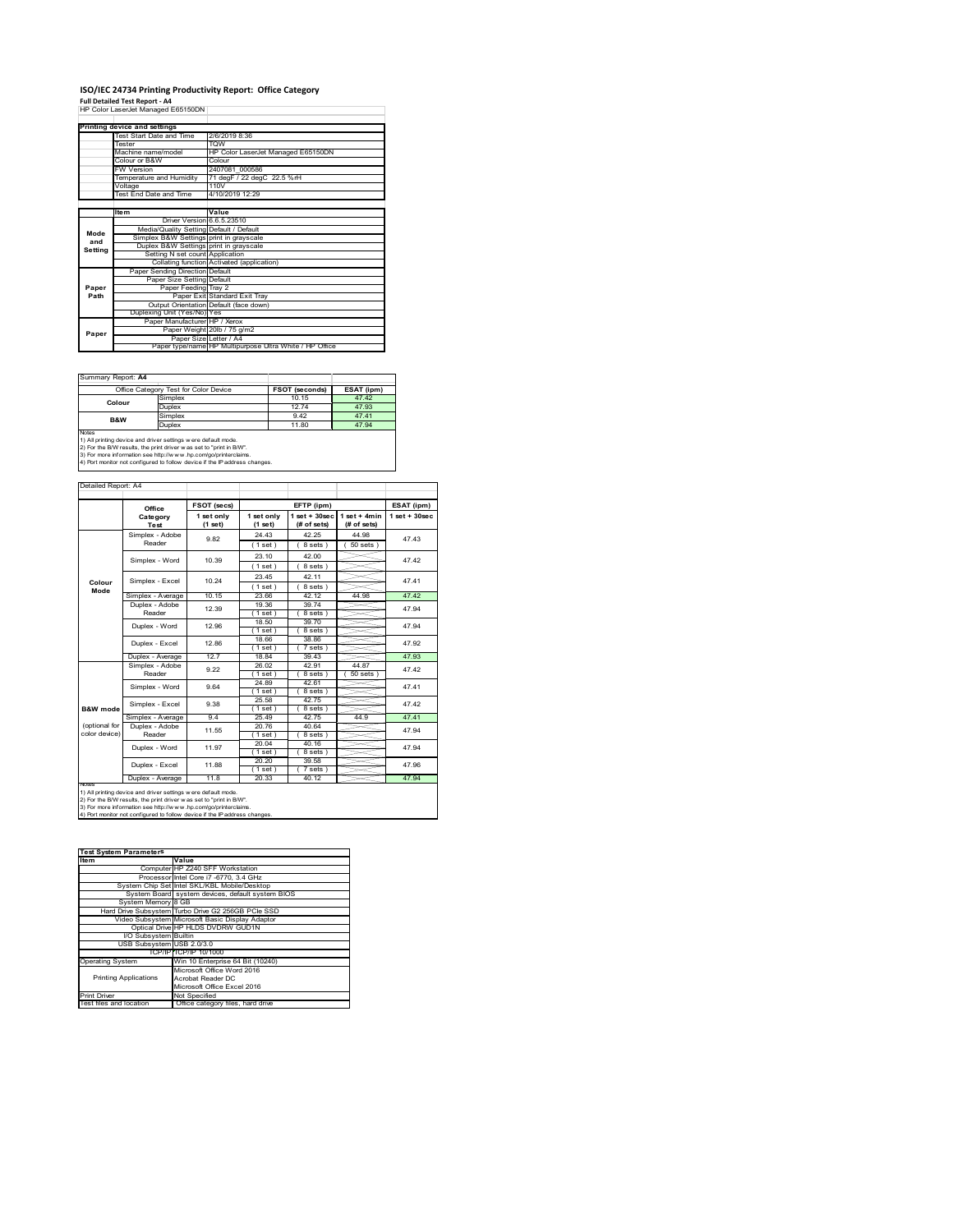# **ISO/IEC 24734 Printing Productivity Report: Office Category<br>Full Detailed Test Report - A4<br>HP Color LaserJet Managed E65150DN |**

|         | Printing device and settings            |                                                         |
|---------|-----------------------------------------|---------------------------------------------------------|
|         | Test Start Date and Time                | 2/6/2019 8:36                                           |
|         | <b>Tester</b>                           | <b>TOW</b>                                              |
|         | Machine name/model                      | HP Color LaserJet Managed E65150DN                      |
|         | Colour or B&W                           | Colour                                                  |
|         | <b>FW Version</b>                       | 2407081 000586                                          |
|         | Temperature and Humidity                | 71 degF / 22 degC 22.5 %rH                              |
|         | Voltage                                 | 110V                                                    |
|         | <b>Test End Date and Time</b>           | 4/10/2019 12:29                                         |
|         |                                         |                                                         |
|         | <b>Item</b>                             | Value                                                   |
|         | Driver Version 6.6.5.23510              |                                                         |
| Mode    | Media/Quality Setting Default / Default |                                                         |
| and     | Simplex B&W Settings print in grayscale |                                                         |
| Setting | Duplex B&W Settings print in grayscale  |                                                         |
|         | Setting N set count Application         |                                                         |
|         |                                         | Collating function Activated (application)              |
|         | Paper Sending Direction Default         |                                                         |
|         | Paper Size Setting Default              |                                                         |
| Paper   | Paper Feeding Tray 2                    |                                                         |
| Path    |                                         | Paper Exit Standard Exit Tray                           |
|         |                                         | Output Orientation Default (face down)                  |
|         | Duplexing Unit (Yes/No) Yes             |                                                         |
|         | Paper Manufacturer HP / Xerox           |                                                         |
| Paper   |                                         | Paper Weight 20lb / 75 g/m2                             |
|         | Paper Size Letter / A4                  |                                                         |
|         |                                         | Paper type/name HP Multipurpose Ultra White / HP Office |

Summary Report: **A4**

| <u> Julianu I IV</u> |                                                               |                       |            |  |  |  |  |
|----------------------|---------------------------------------------------------------|-----------------------|------------|--|--|--|--|
|                      | Office Category Test for Color Device                         | <b>FSOT (seconds)</b> | ESAT (ipm) |  |  |  |  |
| Colour               | Simplex                                                       | 10.15                 | 47.42      |  |  |  |  |
|                      | Duplex                                                        | 12 74                 | 47.93      |  |  |  |  |
| B&W                  | Simplex                                                       | 942                   | 47.41      |  |  |  |  |
|                      | Duplex                                                        | 11.80                 | 47 94      |  |  |  |  |
| <b>Notes</b>         |                                                               |                       |            |  |  |  |  |
|                      | 1) All printing device and driver settings were default mode. |                       |            |  |  |  |  |

1) All printing device and driver settings were default mode.<br>2) For the B/W results, the print driver was set to "print in B/W".<br>3) For more information see http://www.hp.com/go/printerclaims.<br>4) Port monitor not configur

Detailed Report: A4

|                | Office            | FSOT (secs)<br>1 set only | 1 set only        | EFTP (ipm)<br>$1$ set + $30$ sec | $1$ set + 4min | ESAT (ipm)<br>$1$ set + $30$ sec |  |
|----------------|-------------------|---------------------------|-------------------|----------------------------------|----------------|----------------------------------|--|
|                | Category<br>Test  | (1 set)                   | $(1$ set)         | (# of sets)                      | (# of sets)    |                                  |  |
|                |                   |                           |                   |                                  |                |                                  |  |
|                | Simplex - Adobe   | 9.82                      | 24 43             | 42 25                            | 44.98          | 4743                             |  |
|                | Reader            |                           | (1 set)           | 8 sets)                          | $50$ sets $)$  |                                  |  |
|                | Simplex - Word    | 10.39                     | 23.10             | 42.00                            |                | 4742                             |  |
|                |                   |                           | (1 set)           | 8 sets)                          |                |                                  |  |
|                | Simplex - Excel   | 10 24                     | 23 45             | 42 11                            |                | 4741                             |  |
| Colour<br>Mode |                   |                           | (1 set)           | 8 sets)                          |                |                                  |  |
|                | Simplex - Average | 10 15                     | 23.66             | 42 12                            | 44 98          | 4742                             |  |
|                | Duplex - Adobe    | 12.39                     | 19.36             | 39 74                            |                | 47 94                            |  |
|                | Reader            |                           | (1 set)           | 8 sets)                          |                |                                  |  |
|                | Duplex - Word     | 12.96                     | 18.50             | 39 70                            |                | 47.94<br>47.92                   |  |
|                |                   |                           | (1 set)           | 8 sets)                          |                |                                  |  |
|                | Duplex - Excel    | 12.86                     | 18.66             | 38.86                            |                |                                  |  |
|                |                   |                           | (1 set)           | $7 sets$ )                       |                |                                  |  |
|                | Duplex - Average  | 12.7                      | 18.84             | 39.43                            |                | 47.93                            |  |
|                | Simplex - Adobe   | 9.22                      | 26.02             | 42.91                            | 44 87          | 4742                             |  |
|                | Reader            |                           | (1 set)           | 8 sets)                          | $50$ sets $)$  |                                  |  |
|                | Simplex - Word    | 9.64                      | 24.89             | 42.61                            |                | 4741                             |  |
|                |                   |                           | (1 set)           | 8 sets)                          |                |                                  |  |
|                | Simplex - Excel   | 9.38                      | 25.58             | 42.75                            |                | 4742                             |  |
| B&W mode       |                   | 94                        | $1$ set)<br>25 49 | 8 sets)<br>4275                  | 44 9           | 4741                             |  |
| (optional for  | Simplex - Average |                           |                   |                                  |                |                                  |  |
| color device)  | Duplex - Adobe    | 11.55                     | 20.76             | 40.64                            |                | 47 94                            |  |
|                | Reader            |                           | (1 set)<br>20.04  | 8 sets)                          |                |                                  |  |
|                | Duplex - Word     | 11.97                     | (1 set)           | 40.16<br>$8 sets$ )              |                | 47 94                            |  |
|                |                   |                           | 20.20             | 39.58                            |                |                                  |  |
|                | Duplex - Excel    | 1188                      | (1 set)           | $7 sets$ )                       |                | 47.96                            |  |
|                | Duplex - Average  | 118                       | 20.33             | 40 12                            |                | 47 94                            |  |
| NOtes          |                   |                           |                   |                                  |                |                                  |  |

┑

2) For the B/W results, the print driver w as set to "print in B/W".<br>3) For more information see http://w w v.hp.com/go/printerclaims.<br>4) Port monitor not configured to follow device if the IP address changes.

| <b>Test System Parameters</b> |                                                    |  |  |  |
|-------------------------------|----------------------------------------------------|--|--|--|
| Item                          | Value                                              |  |  |  |
|                               | Computer HP Z240 SFF Workstation                   |  |  |  |
|                               |                                                    |  |  |  |
|                               | Processor Intel Core i7 -6770, 3.4 GHz             |  |  |  |
|                               | System Chip Set Intel SKL/KBL Mobile/Desktop       |  |  |  |
|                               | System Board system devices, default system BIOS   |  |  |  |
| System Memory 8 GB            |                                                    |  |  |  |
|                               | Hard Drive Subsystem Turbo Drive G2 256GB PCle SSD |  |  |  |
|                               | Video Subsystem Microsoft Basic Display Adaptor    |  |  |  |
|                               | Optical Drive HP HLDS DVDRW GUD1N                  |  |  |  |
| I/O Subsystem Builtin         |                                                    |  |  |  |
| USB Subsystem USB 2.0/3.0     |                                                    |  |  |  |
|                               | TCP/IP/TCP/IP 10/1000                              |  |  |  |
| <b>Operating System</b>       | Win 10 Enterprise 64 Bit (10240)                   |  |  |  |
|                               | Microsoft Office Word 2016                         |  |  |  |
| <b>Printing Applications</b>  | Acrobat Reader DC                                  |  |  |  |
|                               | Microsoft Office Excel 2016                        |  |  |  |
| <b>Print Driver</b>           | Not Specified                                      |  |  |  |
| Test files and location       | Office category files, hard drive                  |  |  |  |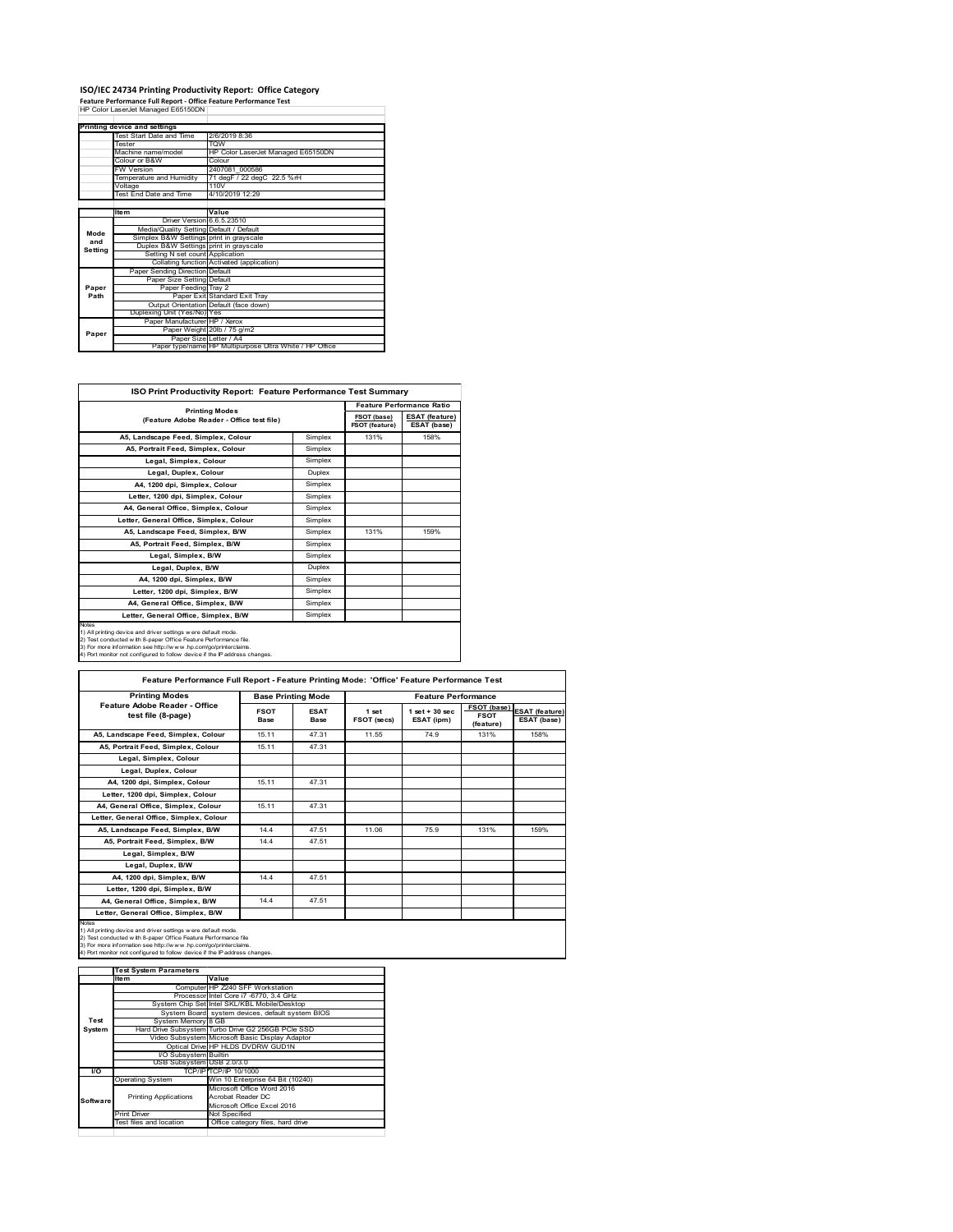## **ISO/IEC 24734 Printing Productivity Report: Office Category Feature Performance Full Report ‐ Office Feature Performance Test** HP Color LaserJet Managed E65150DN

|         | Printing device and settings            |                                                         |
|---------|-----------------------------------------|---------------------------------------------------------|
|         | Test Start Date and Time                | 2/6/2019 8:36                                           |
|         | <b>Tester</b>                           | TOW                                                     |
|         | Machine name/model                      | HP Color LaserJet Managed E65150DN                      |
|         | Colour or B&W                           | Colour                                                  |
|         | <b>FW Version</b>                       | 2407081 000586                                          |
|         | Temperature and Humidity                | 71 degF / 22 degC 22.5 %rH                              |
|         | Voltage                                 | 110V                                                    |
|         | <b>Test End Date and Time</b>           | 4/10/2019 12:29                                         |
|         |                                         |                                                         |
|         | <b>Item</b>                             | Value                                                   |
|         | Driver Version 6.6.5.23510              |                                                         |
| Mode    | Media/Quality Setting Default / Default |                                                         |
| and     | Simplex B&W Settings print in grayscale |                                                         |
| Setting | Duplex B&W Settings print in grayscale  |                                                         |
|         | Setting N set count Application         |                                                         |
|         |                                         | Collating function Activated (application)              |
|         | Paper Sending Direction Default         |                                                         |
|         | Paper Size Setting Default              |                                                         |
| Paper   | Paper Feeding Tray 2                    |                                                         |
| Path    |                                         | Paper Exit Standard Exit Tray                           |
|         |                                         | Output Orientation Default (face down)                  |
|         | Duplexing Unit (Yes/No) Yes             |                                                         |
|         | Paper Manufacturer HP / Xerox           |                                                         |
| Paper   |                                         | Paper Weight 20lb / 75 g/m2                             |
|         | Paper Size Letter / A4                  |                                                         |
|         |                                         | Paper type/name HP Multipurpose Ultra White / HP Office |

| <b>ISO Print Productivity Report: Feature Performance Test Summary</b>                                                                                                                                                                                                                            |         |                                  |                                      |  |
|---------------------------------------------------------------------------------------------------------------------------------------------------------------------------------------------------------------------------------------------------------------------------------------------------|---------|----------------------------------|--------------------------------------|--|
|                                                                                                                                                                                                                                                                                                   |         | <b>Feature Performance Ratio</b> |                                      |  |
| <b>Printing Modes</b><br>(Feature Adobe Reader - Office test file)                                                                                                                                                                                                                                |         | FSOT (base)<br>FSOT (feature)    | <b>ESAT (feature)</b><br>ESAT (base) |  |
| A5, Landscape Feed, Simplex, Colour                                                                                                                                                                                                                                                               | Simplex | 131%                             | 158%                                 |  |
| A5, Portrait Feed, Simplex, Colour                                                                                                                                                                                                                                                                | Simplex |                                  |                                      |  |
| Legal, Simplex, Colour                                                                                                                                                                                                                                                                            | Simplex |                                  |                                      |  |
| Legal, Duplex, Colour                                                                                                                                                                                                                                                                             | Duplex  |                                  |                                      |  |
| A4, 1200 dpi, Simplex, Colour                                                                                                                                                                                                                                                                     | Simplex |                                  |                                      |  |
| Letter, 1200 dpi, Simplex, Colour                                                                                                                                                                                                                                                                 | Simplex |                                  |                                      |  |
| A4. General Office. Simplex. Colour                                                                                                                                                                                                                                                               | Simplex |                                  |                                      |  |
| Letter, General Office, Simplex, Colour                                                                                                                                                                                                                                                           | Simplex |                                  |                                      |  |
| A5, Landscape Feed, Simplex, B/W                                                                                                                                                                                                                                                                  | Simplex | 131%                             | 159%                                 |  |
| A5, Portrait Feed, Simplex, B/W                                                                                                                                                                                                                                                                   | Simplex |                                  |                                      |  |
| Legal, Simplex, B/W                                                                                                                                                                                                                                                                               | Simplex |                                  |                                      |  |
| Legal, Duplex, B/W                                                                                                                                                                                                                                                                                | Duplex  |                                  |                                      |  |
| A4, 1200 dpi, Simplex, B/W                                                                                                                                                                                                                                                                        | Simplex |                                  |                                      |  |
| Letter, 1200 dpi. Simplex, B/W                                                                                                                                                                                                                                                                    | Simplex |                                  |                                      |  |
| A4, General Office, Simplex, B/W                                                                                                                                                                                                                                                                  | Simplex |                                  |                                      |  |
| Letter, General Office, Simplex, B/W                                                                                                                                                                                                                                                              | Simplex |                                  |                                      |  |
| <b>Notes</b><br>1) All printing device and driver settings were default mode.<br>2) Test conducted with 8-paper Office Feature Performance file.<br>3) For more information see http://www.hp.com/go/printerclaims.<br>4) Port monitor not configured to follow device if the IP address changes. |         |                                  |                                      |  |

| <b>Printing Modes</b>                               | <b>Base Printing Mode</b> |                     | <b>Feature Performance</b> |                                 |                                                |                                      |
|-----------------------------------------------------|---------------------------|---------------------|----------------------------|---------------------------------|------------------------------------------------|--------------------------------------|
| Feature Adobe Reader - Office<br>test file (8-page) | <b>FSOT</b><br>Base       | <b>ESAT</b><br>Base | 1 set<br>FSOT (secs)       | $1$ set $+30$ sec<br>ESAT (ipm) | <b>FSOT</b> (base)<br><b>FSOT</b><br>(feature) | <b>ESAT</b> (feature)<br>ESAT (base) |
| A5, Landscape Feed, Simplex, Colour                 | 15.11                     | 47.31               | 11.55                      | 74.9                            | 131%                                           | 158%                                 |
| A5. Portrait Feed. Simplex. Colour                  | 15.11                     | 47.31               |                            |                                 |                                                |                                      |
| Legal, Simplex, Colour                              |                           |                     |                            |                                 |                                                |                                      |
| Legal, Duplex, Colour                               |                           |                     |                            |                                 |                                                |                                      |
| A4. 1200 dpi. Simplex. Colour                       | 15.11                     | 47.31               |                            |                                 |                                                |                                      |
| Letter, 1200 dpi, Simplex, Colour                   |                           |                     |                            |                                 |                                                |                                      |
| A4, General Office, Simplex, Colour                 | 15 11                     | 47.31               |                            |                                 |                                                |                                      |
| Letter, General Office, Simplex, Colour             |                           |                     |                            |                                 |                                                |                                      |
| A5. Landscape Feed. Simplex, B/W                    | 144                       | 47.51               | 11.06                      | 75.9                            | 131%                                           | 159%                                 |
| A5. Portrait Feed. Simplex. B/W                     | 144                       | 47.51               |                            |                                 |                                                |                                      |
| Legal, Simplex, B/W                                 |                           |                     |                            |                                 |                                                |                                      |
| Legal, Duplex, B/W                                  |                           |                     |                            |                                 |                                                |                                      |
| A4. 1200 dpi. Simplex. B/W                          | 14.4                      | 47.51               |                            |                                 |                                                |                                      |
| Letter, 1200 dpi, Simplex, B/W                      |                           |                     |                            |                                 |                                                |                                      |
| A4, General Office, Simplex, B/W                    | 14.4                      | 47.51               |                            |                                 |                                                |                                      |
| Letter, General Office, Simplex, B/W                |                           |                     |                            |                                 |                                                |                                      |

1) All printing device and driver settings were default mode.<br>2) Test conducted with 8-paper Office Feature Performance file<br>3) For more information see http://www.hp.com/go/printerclaims.<br>4) Port monitor not configured to

|           | <b>Test System Parameters</b> |                                                    |
|-----------|-------------------------------|----------------------------------------------------|
|           | <b>Item</b>                   | Value                                              |
|           |                               | Computer HP Z240 SFF Workstation                   |
|           |                               | Processor Intel Core i7 -6770, 3.4 GHz             |
|           |                               | System Chip Set Intel SKL/KBL Mobile/Desktop       |
|           |                               | System Board system devices, default system BIOS   |
| Test      | System Memory 8 GB            |                                                    |
| System    |                               | Hard Drive Subsystem Turbo Drive G2 256GB PCle SSD |
|           |                               | Video Subsystem Microsoft Basic Display Adaptor    |
|           |                               | Optical Drive HP HLDS DVDRW GUD1N                  |
|           | I/O Subsystem Builtin         |                                                    |
|           | USB Subsystem USB 2.0/3.0     |                                                    |
| <b>VO</b> |                               | TCP/IP/TCP/IP 10/1000                              |
|           | <b>Operating System</b>       | Win 10 Enterprise 64 Bit (10240)                   |
|           |                               | Microsoft Office Word 2016                         |
|           | <b>Printing Applications</b>  | Acrobat Reader DC                                  |
| Software  |                               | Microsoft Office Excel 2016                        |
|           | <b>Print Driver</b>           | Not Specified                                      |
|           | Test files and location       | Office category files, hard drive                  |
|           |                               |                                                    |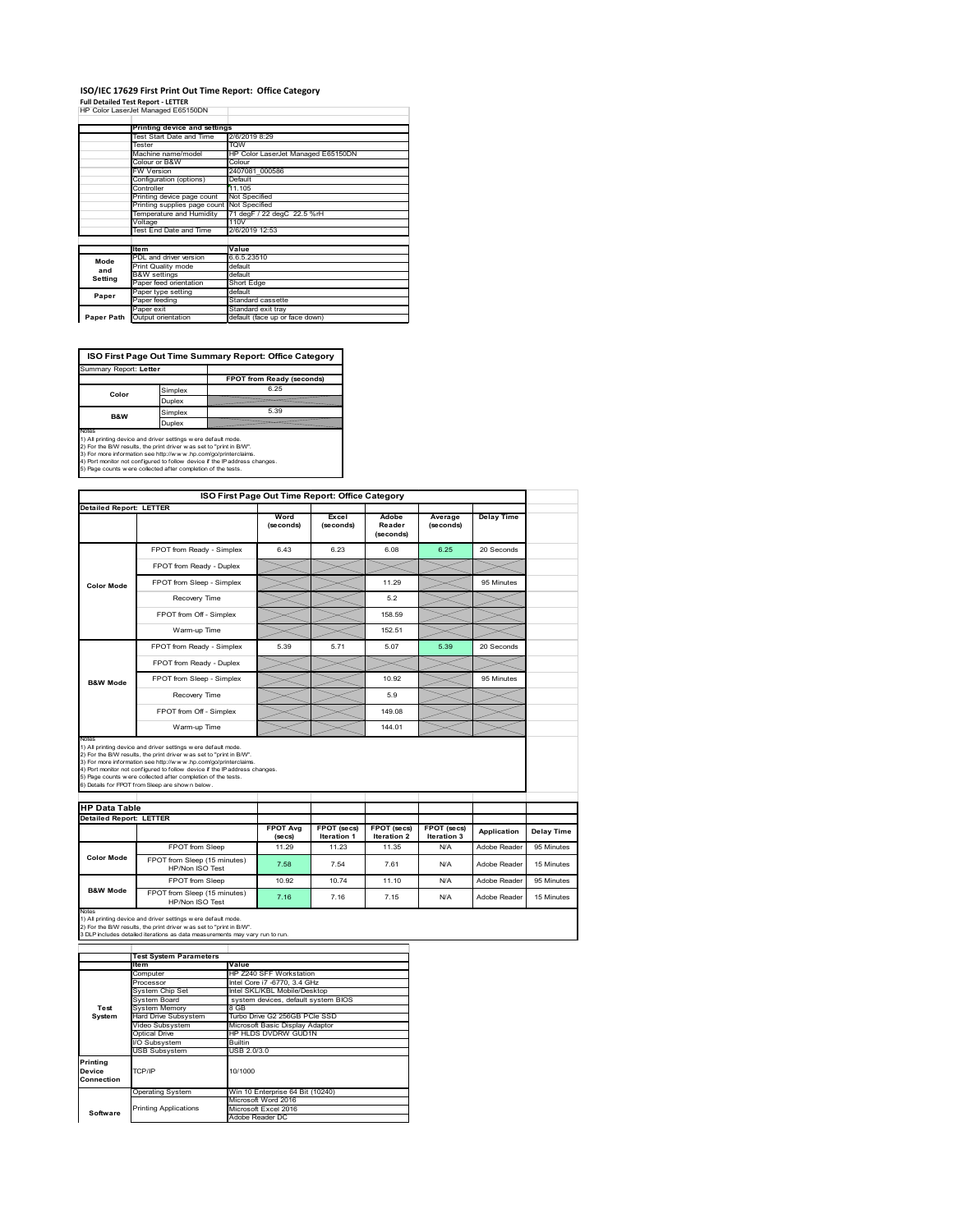#### **ISO/IEC 17629 First Print Out Time Report: Office Category**  $\top$

| <b>Full Detailed Test Report - LETTER</b> |                                    |  |  |  |
|-------------------------------------------|------------------------------------|--|--|--|
|                                           | HP Color LaserJet Managed E65150DN |  |  |  |

|            | Printing device and settings |                                    |  |
|------------|------------------------------|------------------------------------|--|
|            | Test Start Date and Time     | 2/6/2019 8:29                      |  |
|            | Tester                       | <b>TOW</b>                         |  |
|            | Machine name/model           | HP Color LaserJet Managed E65150DN |  |
|            | Colour or B&W                | Colour                             |  |
|            | <b>FW Version</b>            | 2407081 000586                     |  |
|            | Configuration (options)      | Default                            |  |
|            | Controller                   | 11 105                             |  |
|            | Printing device page count   | Not Specified                      |  |
|            | Printing supplies page count | Not Specified                      |  |
|            | Temperature and Humidity     | 71 degF / 22 degC 22.5 %rH         |  |
|            | Voltage                      | 110V                               |  |
|            | Test End Date and Time       | 2/6/2019 12:53                     |  |
|            |                              |                                    |  |
|            | <b>Item</b>                  | Value                              |  |
| Mode       | PDL and driver version       | 6.6.5.23510                        |  |
| and        | Print Quality mode           | default                            |  |
| Setting    | <b>B&amp;W</b> settings      | default                            |  |
|            | Paper feed orientation       | Short Edge                         |  |
| Paper      | Paper type setting           | default                            |  |
|            | Paper feeding                | Standard cassette                  |  |
|            | Paper exit                   | Standard exit tray                 |  |
| Paper Path | Output orientation           | default (face up or face down)     |  |

ń

**ISO First Page Out Time Summary Report: Office Category**

| Summary Report: Letter |         |                           |
|------------------------|---------|---------------------------|
|                        |         | FPOT from Ready (seconds) |
| Color                  | Simplex | 6.25                      |
|                        | Duplex  |                           |
| <b>B&amp;W</b>         | Simplex | 5.39                      |
| Duplex                 |         |                           |
| Notes                  |         |                           |

Notes<br>1) All printing device and driver settings were default mode.<br>2) For the BW results, the print driver was set to "print in BW".<br>3) For more information see http://www.hp.com/golprinterclaims.<br>4) Rot monitor not confi

| ISO First Page Out Time Report: Office Category        |                                                                                                                                                                                                                                                                                                                                                                                                             |                            |                            |                              |                            |                   |
|--------------------------------------------------------|-------------------------------------------------------------------------------------------------------------------------------------------------------------------------------------------------------------------------------------------------------------------------------------------------------------------------------------------------------------------------------------------------------------|----------------------------|----------------------------|------------------------------|----------------------------|-------------------|
| <b>Detailed Report: LETTER</b>                         |                                                                                                                                                                                                                                                                                                                                                                                                             | Word<br>(seconds)          | Excel<br>(seconds)         | Adobe<br>Reader<br>(seconds) | Average<br>(seconds)       | <b>Delay Time</b> |
|                                                        | FPOT from Ready - Simplex                                                                                                                                                                                                                                                                                                                                                                                   | 6.43                       | 6.23                       | 6.08                         | 6.25                       | 20 Seconds        |
|                                                        | FPOT from Ready - Duplex                                                                                                                                                                                                                                                                                                                                                                                    |                            |                            |                              |                            |                   |
| <b>Color Mode</b>                                      | FPOT from Sleep - Simplex                                                                                                                                                                                                                                                                                                                                                                                   |                            |                            | 11.29                        |                            | 95 Minutes        |
|                                                        | Recovery Time                                                                                                                                                                                                                                                                                                                                                                                               |                            |                            | 5.2                          |                            |                   |
|                                                        | FPOT from Off - Simplex                                                                                                                                                                                                                                                                                                                                                                                     |                            |                            | 158.59                       |                            |                   |
|                                                        | Warm-up Time                                                                                                                                                                                                                                                                                                                                                                                                |                            |                            | 152.51                       |                            |                   |
|                                                        | FPOT from Ready - Simplex                                                                                                                                                                                                                                                                                                                                                                                   | 5.39                       | 5.71                       | 5.07                         | 5.39                       | 20 Seconds        |
|                                                        | FPOT from Ready - Duplex                                                                                                                                                                                                                                                                                                                                                                                    |                            |                            |                              |                            |                   |
| <b>B&amp;W Mode</b>                                    | FPOT from Sleep - Simplex                                                                                                                                                                                                                                                                                                                                                                                   |                            |                            | 10.92                        |                            | 95 Minutes        |
|                                                        | Recovery Time                                                                                                                                                                                                                                                                                                                                                                                               |                            |                            | 5.9                          |                            |                   |
|                                                        | FPOT from Off - Simplex                                                                                                                                                                                                                                                                                                                                                                                     |                            |                            | 149.08                       |                            |                   |
|                                                        | Warm-up Time                                                                                                                                                                                                                                                                                                                                                                                                |                            |                            | 144.01                       |                            |                   |
| Notes                                                  |                                                                                                                                                                                                                                                                                                                                                                                                             |                            |                            |                              |                            |                   |
|                                                        | 1) All printing device and driver settings w ere default mode.<br>2) For the B/W results, the print driver was set to "print in B/W".<br>3) For more information see http://www.hp.com/go/printerclaims.<br>4) Port monitor not configured to follow device if the IP address changes.<br>5) Page counts w ere collected after completion of the tests.<br>6) Details for FPOT from Sleep are show n below. |                            |                            |                              |                            |                   |
| <b>HP Data Table</b><br><b>Detailed Report: LETTER</b> |                                                                                                                                                                                                                                                                                                                                                                                                             |                            |                            |                              |                            |                   |
|                                                        |                                                                                                                                                                                                                                                                                                                                                                                                             | <b>FPOT Avg</b><br>(se cs) | FPOT (secs)<br>Iteration 1 | FPOT (secs)<br>Iteration 2   | FPOT (secs)<br>Iteration 3 | Application       |
|                                                        | FPOT from Sleep                                                                                                                                                                                                                                                                                                                                                                                             | 11.29                      | 11.23                      | 11.35                        | N/A                        | Adobe Reader      |
| <b>Color Mode</b>                                      | FPOT from Sleep (15 minutes)<br>HP/Non ISO Test                                                                                                                                                                                                                                                                                                                                                             | 7.58                       | 7.54                       | 7.61                         | N/A                        | Adobe Reader      |
| <b>B&amp;W Mode</b>                                    | <b>FPOT</b> from Sleep                                                                                                                                                                                                                                                                                                                                                                                      | 10.92                      | 1074                       | 11.10                        | N/A                        | Adobe Reader      |

Notes<br>1) All printing device and driver settings w ere default mode.<br>2) For the B/W results, the print driver w as set to "print in B/W".<br>3 DLP includes detailed iterations as data measurements may vary run to run.

|            | <b>Test System Parameters</b> |                                     |  |
|------------|-------------------------------|-------------------------------------|--|
|            | <b>Item</b>                   | Value                               |  |
|            | Computer                      | HP Z240 SFF Workstation             |  |
|            | Processor                     | Intel Core i7 -6770, 3.4 GHz        |  |
|            | System Chip Set               | Intel SKL/KBL Mobile/Desktop        |  |
|            | System Board                  | system devices, default system BIOS |  |
| Test       | <b>System Memory</b>          | 8 GB                                |  |
| System     | Hard Drive Subsystem          | Turbo Drive G2 256GB PCIe SSD       |  |
|            | Video Subsystem               | Microsoft Basic Display Adaptor     |  |
|            | Optical Drive                 | HP HLDS DVDRW GUD1N                 |  |
|            | I/O Subsystem                 | <b>Builtin</b>                      |  |
|            | <b>USB Subsystem</b>          | USB 2.0/3.0                         |  |
| Printing   |                               |                                     |  |
| Device     | TCP/IP                        | 10/1000                             |  |
| Connection |                               |                                     |  |
|            | <b>Operating System</b>       | Win 10 Enterprise 64 Bit (10240)    |  |
|            |                               | Microsoft Word 2016                 |  |
|            | <b>Printing Applications</b>  | Microsoft Excel 2016                |  |
| Software   |                               | Adobe Reader DC                     |  |